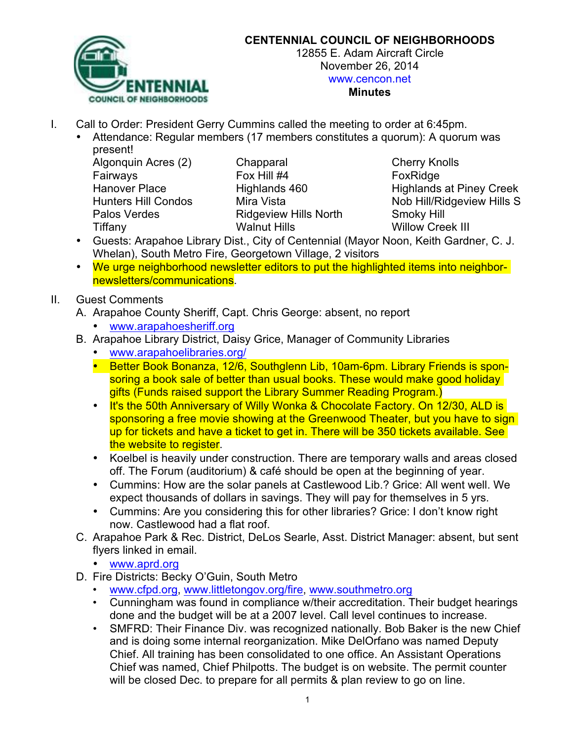

#### **CENTENNIAL COUNCIL OF NEIGHBORHOODS**

12855 E. Adam Aircraft Circle November 26, 2014 www.cencon.net

#### **Minutes**

- I. Call to Order: President Gerry Cummins called the meeting to order at 6:45pm.
	- Attendance: Regular members (17 members constitutes a quorum): A quorum was present!

Algonquin Acres (2) Chapparal Cherry Knolls Fairways **Fox Hill #4** Fox Hill #4 **FoxRidge** Palos Verdes **Ridgeview Hills North** Smoky Hill Tiffany **Walnut Hills** Walnut Hills Willow Creek III

Hanover Place **Highlands 460** Highlands at Piney Creek Hunters Hill Condos Mira Vista Nob Hill/Ridgeview Hills S

- Guests: Arapahoe Library Dist., City of Centennial (Mayor Noon, Keith Gardner, C. J. Whelan), South Metro Fire, Georgetown Village, 2 visitors
- We urge neighborhood newsletter editors to put the highlighted items into neighbornewsletters/communications.
- II. Guest Comments
	- A. Arapahoe County Sheriff, Capt. Chris George: absent, no report
		- www.arapahoesheriff.org
	- B. Arapahoe Library District, Daisy Grice, Manager of Community Libraries
		- www.arapahoelibraries.org/
		- Better Book Bonanza, 12/6, Southglenn Lib, 10am-6pm. Library Friends is sponsoring a book sale of better than usual books. These would make good holiday gifts (Funds raised support the Library Summer Reading Program.)
		- It's the 50th Anniversary of Willy Wonka & Chocolate Factory. On 12/30, ALD is sponsoring a free movie showing at the Greenwood Theater, but you have to sign up for tickets and have a ticket to get in. There will be 350 tickets available. See the website to register.
		- Koelbel is heavily under construction. There are temporary walls and areas closed off. The Forum (auditorium) & café should be open at the beginning of year.
		- Cummins: How are the solar panels at Castlewood Lib.? Grice: All went well. We expect thousands of dollars in savings. They will pay for themselves in 5 yrs.
		- Cummins: Are you considering this for other libraries? Grice: I don't know right now. Castlewood had a flat roof.
	- C. Arapahoe Park & Rec. District, DeLos Searle, Asst. District Manager: absent, but sent flyers linked in email.
		- www.aprd.org
	- D. Fire Districts: Becky O'Guin, South Metro
		- www.cfpd.org, www.littletongov.org/fire, www.southmetro.org
		- Cunningham was found in compliance w/their accreditation. Their budget hearings done and the budget will be at a 2007 level. Call level continues to increase.
		- SMFRD: Their Finance Div. was recognized nationally. Bob Baker is the new Chief and is doing some internal reorganization. Mike DelOrfano was named Deputy Chief. All training has been consolidated to one office. An Assistant Operations Chief was named, Chief Philpotts. The budget is on website. The permit counter will be closed Dec. to prepare for all permits & plan review to go on line.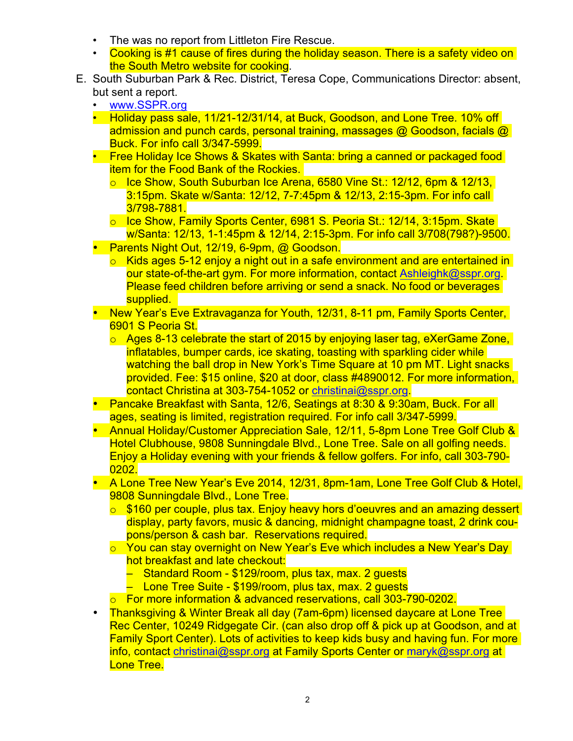- The was no report from Littleton Fire Rescue.
- Cooking is #1 cause of fires during the holiday season. There is a safety video on the South Metro website for cooking.
- E. South Suburban Park & Rec. District, Teresa Cope, Communications Director: absent, but sent a report.
	- www.SSPR.org
	- Holiday pass sale, 11/21-12/31/14, at Buck, Goodson, and Lone Tree, 10% off admission and punch cards, personal training, massages @ Goodson, facials @ Buck. For info call 3/347-5999.
	- Free Holiday Ice Shows & Skates with Santa: bring a canned or packaged food item for the Food Bank of the Rockies.
		- o Ice Show, South Suburban Ice Arena, 6580 Vine St.: 12/12, 6pm & 12/13, 3:15pm. Skate w/Santa: 12/12, 7-7:45pm & 12/13, 2:15-3pm. For info call 3/798-7881.
		- o Ice Show, Family Sports Center, 6981 S. Peoria St.: 12/14, 3:15pm. Skate w/Santa: 12/13, 1-1:45pm & 12/14, 2:15-3pm. For info call 3/708(798?)-9500.
	- Parents Night Out, 12/19, 6-9pm, @ Goodson.
		- $\circ$  Kids ages 5-12 enjoy a night out in a safe environment and are entertained in our state-of-the-art gym. For more information, contact Ashleighk@sspr.org. Please feed children before arriving or send a snack. No food or beverages supplied.
	- New Year's Eve Extravaganza for Youth, 12/31, 8-11 pm, Family Sports Center, 6901 S Peoria St.
		- o Ages 8-13 celebrate the start of 2015 by enjoying laser tag, eXerGame Zone, inflatables, bumper cards, ice skating, toasting with sparkling cider while watching the ball drop in New York's Time Square at 10 pm MT. Light snacks provided. Fee: \$15 online, \$20 at door, class #4890012. For more information, contact Christina at 303-754-1052 or christinai@sspr.org.
	- Pancake Breakfast with Santa, 12/6, Seatings at 8:30 & 9:30am, Buck. For all ages, seating is limited, registration required. For info call 3/347-5999.
	- Annual Holiday/Customer Appreciation Sale, 12/11, 5-8pm Lone Tree Golf Club & Hotel Clubhouse, 9808 Sunningdale Blvd., Lone Tree. Sale on all golfing needs. Enjoy a Holiday evening with your friends & fellow golfers. For info, call 303-790- 0202.
	- A Lone Tree New Year's Eve 2014, 12/31, 8pm-1am, Lone Tree Golf Club & Hotel, 9808 Sunningdale Blvd., Lone Tree.
		- o \$160 per couple, plus tax. Enjoy heavy hors d'oeuvres and an amazing dessert display, party favors, music & dancing, midnight champagne toast, 2 drink coupons/person & cash bar. Reservations required.
		- o You can stay overnight on New Year's Eve which includes a New Year's Day hot breakfast and late checkout:
			- Standard Room \$129/room, plus tax, max. 2 guests
			- Lone Tree Suite \$199/room, plus tax, max. 2 guests
		- o For more information & advanced reservations, call 303-790-0202.
	- Thanksgiving & Winter Break all day (7am-6pm) licensed daycare at Lone Tree Rec Center, 10249 Ridgegate Cir. (can also drop off & pick up at Goodson, and at Family Sport Center). Lots of activities to keep kids busy and having fun. For more info, contact christinai@sspr.org at Family Sports Center or maryk@sspr.org at Lone Tree.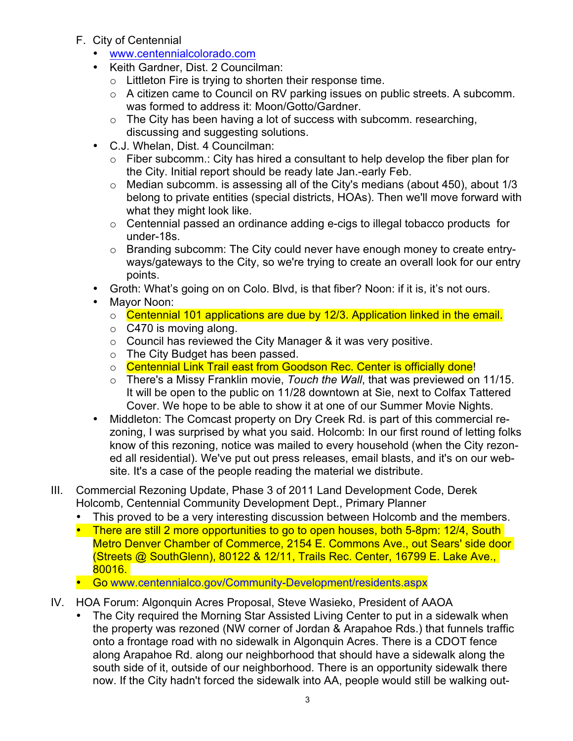- F. City of Centennial
	- www.centennialcolorado.com
	- Keith Gardner, Dist. 2 Councilman:
		- o Littleton Fire is trying to shorten their response time.
		- o A citizen came to Council on RV parking issues on public streets. A subcomm. was formed to address it: Moon/Gotto/Gardner.
		- $\circ$  The City has been having a lot of success with subcomm. researching, discussing and suggesting solutions.
	- C.J. Whelan, Dist. 4 Councilman:
		- $\circ$  Fiber subcomm.: City has hired a consultant to help develop the fiber plan for the City. Initial report should be ready late Jan.-early Feb.
		- $\circ$  Median subcomm. is assessing all of the City's medians (about 450), about 1/3 belong to private entities (special districts, HOAs). Then we'll move forward with what they might look like.
		- o Centennial passed an ordinance adding e-cigs to illegal tobacco products for under-18s.
		- o Branding subcomm: The City could never have enough money to create entryways/gateways to the City, so we're trying to create an overall look for our entry points.
	- Groth: What's going on on Colo. Blvd, is that fiber? Noon: if it is, it's not ours.
	- Mayor Noon:
		- o Centennial 101 applications are due by 12/3. Application linked in the email.
		- $\circ$  C470 is moving along.
		- $\circ$  Council has reviewed the City Manager & it was very positive.
		- o The City Budget has been passed.
		- o Centennial Link Trail east from Goodson Rec. Center is officially done!
		- o There's a Missy Franklin movie, *Touch the Wall*, that was previewed on 11/15. It will be open to the public on 11/28 downtown at Sie, next to Colfax Tattered Cover. We hope to be able to show it at one of our Summer Movie Nights.
	- Middleton: The Comcast property on Dry Creek Rd. is part of this commercial rezoning, I was surprised by what you said. Holcomb: In our first round of letting folks know of this rezoning, notice was mailed to every household (when the City rezoned all residential). We've put out press releases, email blasts, and it's on our website. It's a case of the people reading the material we distribute.
- III. Commercial Rezoning Update, Phase 3 of 2011 Land Development Code, Derek Holcomb, Centennial Community Development Dept., Primary Planner
	- This proved to be a very interesting discussion between Holcomb and the members.
	- There are still 2 more opportunities to go to open houses, both 5-8pm: 12/4, South Metro Denver Chamber of Commerce, 2154 E. Commons Ave., out Sears' side door (Streets @ SouthGlenn), 80122 & 12/11, Trails Rec. Center, 16799 E. Lake Ave., 80016.
	- Go www.centennialco.gov/Community-Development/residents.aspx
- IV. HOA Forum: Algonquin Acres Proposal, Steve Wasieko, President of AAOA
	- The City required the Morning Star Assisted Living Center to put in a sidewalk when the property was rezoned (NW corner of Jordan & Arapahoe Rds.) that funnels traffic onto a frontage road with no sidewalk in Algonquin Acres. There is a CDOT fence along Arapahoe Rd. along our neighborhood that should have a sidewalk along the south side of it, outside of our neighborhood. There is an opportunity sidewalk there now. If the City hadn't forced the sidewalk into AA, people would still be walking out-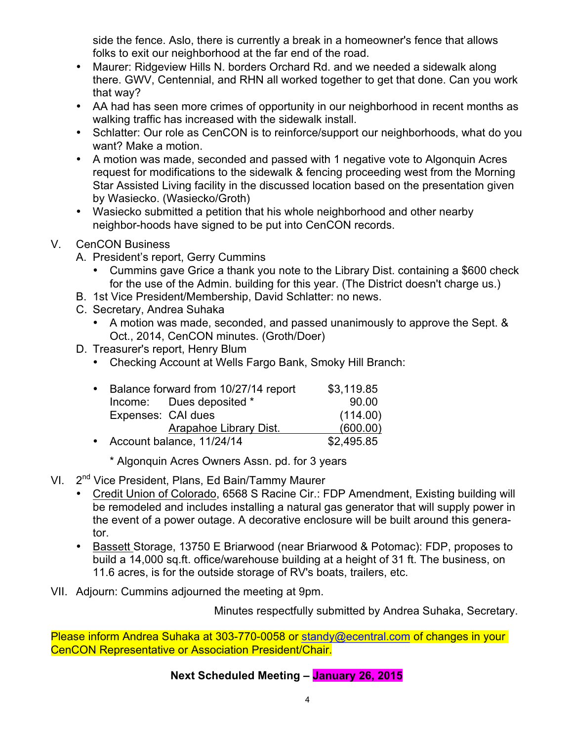side the fence. Aslo, there is currently a break in a homeowner's fence that allows folks to exit our neighborhood at the far end of the road.

- Maurer: Ridgeview Hills N. borders Orchard Rd. and we needed a sidewalk along there. GWV, Centennial, and RHN all worked together to get that done. Can you work that way?
- AA had has seen more crimes of opportunity in our neighborhood in recent months as walking traffic has increased with the sidewalk install.
- Schlatter: Our role as CenCON is to reinforce/support our neighborhoods, what do you want? Make a motion.
- A motion was made, seconded and passed with 1 negative vote to Algonquin Acres request for modifications to the sidewalk & fencing proceeding west from the Morning Star Assisted Living facility in the discussed location based on the presentation given by Wasiecko. (Wasiecko/Groth)
- Wasiecko submitted a petition that his whole neighborhood and other nearby neighbor-hoods have signed to be put into CenCON records.

### V. CenCON Business

- A. President's report, Gerry Cummins
	- Cummins gave Grice a thank you note to the Library Dist. containing a \$600 check for the use of the Admin. building for this year. (The District doesn't charge us.)
- B. 1st Vice President/Membership, David Schlatter: no news.
- C. Secretary, Andrea Suhaka
	- A motion was made, seconded, and passed unanimously to approve the Sept. & Oct., 2014, CenCON minutes. (Groth/Doer)
- D. Treasurer's report, Henry Blum
	- Checking Account at Wells Fargo Bank, Smoky Hill Branch:

| $\bullet$ | Balance forward from 10/27/14 report |                          | \$3,119.85 |
|-----------|--------------------------------------|--------------------------|------------|
|           |                                      | Income: Dues deposited * | 90.00      |
|           | Expenses: CAI dues                   |                          | (114.00)   |
|           |                                      | Arapahoe Library Dist.   | (600.00)   |
|           | • Account balance, 11/24/14          |                          | \$2,495.85 |

- \* Algonquin Acres Owners Assn. pd. for 3 years
- VI. 2<sup>nd</sup> Vice President, Plans, Ed Bain/Tammy Maurer
	- Credit Union of Colorado, 6568 S Racine Cir.: FDP Amendment, Existing building will be remodeled and includes installing a natural gas generator that will supply power in the event of a power outage. A decorative enclosure will be built around this generator.
	- Bassett Storage, 13750 E Briarwood (near Briarwood & Potomac): FDP, proposes to build a 14,000 sq.ft. office/warehouse building at a height of 31 ft. The business, on 11.6 acres, is for the outside storage of RV's boats, trailers, etc.
- VII. Adjourn: Cummins adjourned the meeting at 9pm.

Minutes respectfully submitted by Andrea Suhaka, Secretary.

Please inform Andrea Suhaka at 303-770-0058 or standy@ecentral.com of changes in your CenCON Representative or Association President/Chair.

## **Next Scheduled Meeting – January 26, 2015**